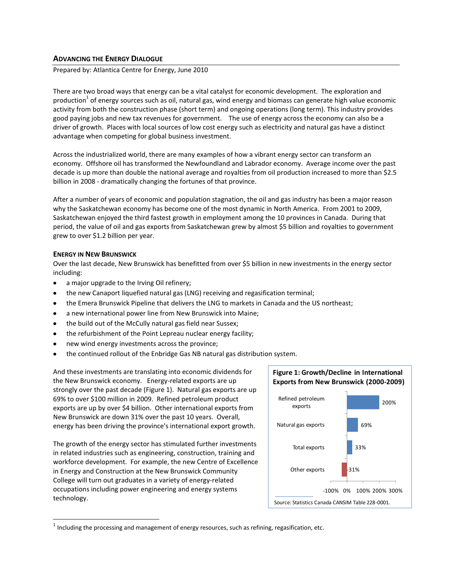# **ADVANCING THE ENERGY DIALOGUE**

Prepared by: Atlantica Centre for Energy, June 2010

There are two broad ways that energy can be a vital catalyst for economic development. The exploration and production $^1$  of energy sources such as oil, natural gas, wind energy and biomass can generate high value economic activity from both the construction phase (short term) and ongoing operations (long term). This industry provides good paying jobs and new tax revenues for government. The use of energy across the economy can also be a driver of growth. Places with local sources of low cost energy such as electricity and natural gas have a distinct advantage when competing for global business investment.

Across the industrialized world, there are many examples of how a vibrant energy sector can transform an economy. Offshore oil has transformed the Newfoundland and Labrador economy. Average income over the past decade is up more than double the national average and royalties from oil production increased to more than \$2.5 billion in 2008 - dramatically changing the fortunes of that province.

After a number of years of economic and population stagnation, the oil and gas industry has been a major reason why the Saskatchewan economy has become one of the most dynamic in North America. From 2001 to 2009, Saskatchewan enjoyed the third fastest growth in employment among the 10 provinces in Canada. During that period, the value of oil and gas exports from Saskatchewan grew by almost \$5 billion and royalties to government grew to over \$1.2 billion per year.

## **ENERGY IN NEW BRUNSWICK**

 $\overline{a}$ 

Over the last decade, New Brunswick has benefitted from over \$5 billion in new investments in the energy sector including:

- a major upgrade to the Irving Oil refinery;
- the new Canaport liquefied natural gas (LNG) receiving and regasification terminal;  $\bullet$
- the Emera Brunswick Pipeline that delivers the LNG to markets in Canada and the US northeast;
- a new international power line from New Brunswick into Maine;  $\bullet$
- the build out of the McCully natural gas field near Sussex;
- the refurbishment of the Point Lepreau nuclear energy facility;
- new wind energy investments across the province;
- the continued rollout of the Enbridge Gas NB natural gas distribution system.  $\bullet$

And these investments are translating into economic dividends for the New Brunswick economy. Energy-related exports are up strongly over the past decade (Figure 1). Natural gas exports are up 69% to over \$100 million in 2009. Refined petroleum product exports are up by over \$4 billion. Other international exports from New Brunswick are down 31% over the past 10 years. Overall, energy has been driving the province's international export growth.

The growth of the energy sector has stimulated further investments in related industries such as engineering, construction, training and workforce development. For example, the new Centre of Excellence in Energy and Construction at the New Brunswick Community College will turn out graduates in a variety of energy-related occupations including power engineering and energy systems technology.



 $^1$  Including the processing and management of energy resources, such as refining, regasification, etc.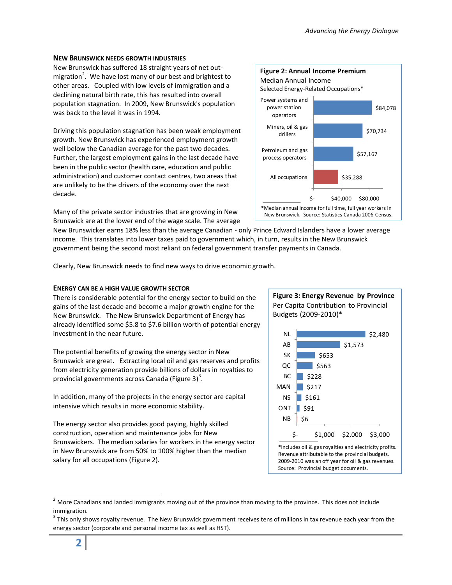# **NEW BRUNSWICK NEEDS GROWTH INDUSTRIES**

New Brunswick has suffered 18 straight years of net outmigration<sup>2</sup>. We have lost many of our best and brightest to other areas. Coupled with low levels of immigration and a declining natural birth rate, this has resulted into overall population stagnation. In 2009, New Brunswick's population was back to the level it was in 1994.

Driving this population stagnation has been weak employment growth. New Brunswick has experienced employment growth well below the Canadian average for the past two decades. Further, the largest employment gains in the last decade have been in the public sector (health care, education and public administration) and customer contact centres, two areas that are unlikely to be the drivers of the economy over the next decade.



Many of the private sector industries that are growing in New Brunswick are at the lower end of the wage scale. The average

New Brunswicker earns 18% less than the average Canadian - only Prince Edward Islanders have a lower average income. This translates into lower taxes paid to government which, in turn, results in the New Brunswick government being the second most reliant on federal government transfer payments in Canada.

Clearly, New Brunswick needs to find new ways to drive economic growth.

# **ENERGY CAN BE A HIGH VALUE GROWTH SECTOR**

There is considerable potential for the energy sector to build on the gains of the last decade and become a major growth engine for the New Brunswick. The New Brunswick Department of Energy has already identified some \$5.8 to \$7.6 billion worth of potential energy investment in the near future.

The potential benefits of growing the energy sector in New Brunswick are great. Extracting local oil and gas reserves and profits from electricity generation provide billions of dollars in royalties to provincial governments across Canada (Figure 3)<sup>3</sup>.

In addition, many of the projects in the energy sector are capital intensive which results in more economic stability.

The energy sector also provides good paying, highly skilled construction, operation and maintenance jobs for New Brunswickers. The median salaries for workers in the energy sector in New Brunswick are from 50% to 100% higher than the median salary for all occupations (Figure 2).



 $2$  More Canadians and landed immigrants moving out of the province than moving to the province. This does not include immigration.

 $\overline{a}$ 

 $^3$  This only shows royalty revenue. The New Brunswick government receives tens of millions in tax revenue each year from the energy sector (corporate and personal income tax as well as HST).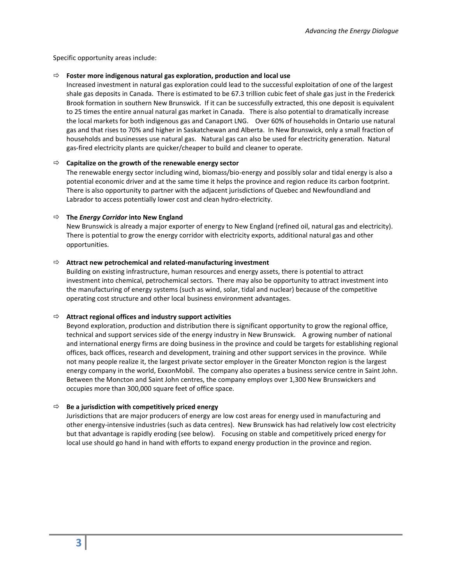Specific opportunity areas include:

## **Foster more indigenous natural gas exploration, production and local use**

Increased investment in natural gas exploration could lead to the successful exploitation of one of the largest shale gas deposits in Canada. There is estimated to be 67.3 trillion cubic feet of shale gas just in the Frederick Brook formation in southern New Brunswick. If it can be successfully extracted, this one deposit is equivalent to 25 times the entire annual natural gas market in Canada. There is also potential to dramatically increase the local markets for both indigenous gas and Canaport LNG. Over 60% of households in Ontario use natural gas and that rises to 70% and higher in Saskatchewan and Alberta. In New Brunswick, only a small fraction of households and businesses use natural gas. Natural gas can also be used for electricity generation. Natural gas-fired electricity plants are quicker/cheaper to build and cleaner to operate.

## **Capitalize on the growth of the renewable energy sector**

The renewable energy sector including wind, biomass/bio-energy and possibly solar and tidal energy is also a potential economic driver and at the same time it helps the province and region reduce its carbon footprint. There is also opportunity to partner with the adjacent jurisdictions of Quebec and Newfoundland and Labrador to access potentially lower cost and clean hydro-electricity.

## **The** *Energy Corridor* **into New England**

New Brunswick is already a major exporter of energy to New England (refined oil, natural gas and electricity). There is potential to grow the energy corridor with electricity exports, additional natural gas and other opportunities.

## **Attract new petrochemical and related-manufacturing investment**

Building on existing infrastructure, human resources and energy assets, there is potential to attract investment into chemical, petrochemical sectors. There may also be opportunity to attract investment into the manufacturing of energy systems (such as wind, solar, tidal and nuclear) because of the competitive operating cost structure and other local business environment advantages.

#### **Attract regional offices and industry support activities**

Beyond exploration, production and distribution there is significant opportunity to grow the regional office, technical and support services side of the energy industry in New Brunswick. A growing number of national and international energy firms are doing business in the province and could be targets for establishing regional offices, back offices, research and development, training and other support services in the province. While not many people realize it, the largest private sector employer in the Greater Moncton region is the largest energy company in the world, ExxonMobil. The company also operates a business service centre in Saint John. Between the Moncton and Saint John centres, the company employs over 1,300 New Brunswickers and occupies more than 300,000 square feet of office space.

#### $\Rightarrow$  Be a jurisdiction with competitively priced energy

Jurisdictions that are major producers of energy are low cost areas for energy used in manufacturing and other energy-intensive industries (such as data centres). New Brunswick has had relatively low cost electricity but that advantage is rapidly eroding (see below). Focusing on stable and competitively priced energy for local use should go hand in hand with efforts to expand energy production in the province and region.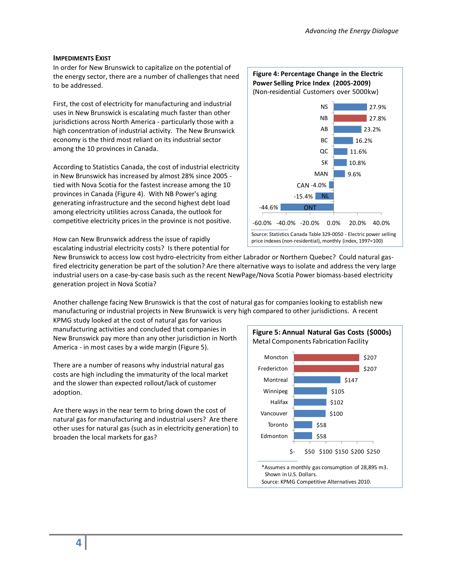## **IMPEDIMENTS EXIST**

In order for New Brunswick to capitalize on the potential of the energy sector, there are a number of challenges that need to be addressed.

First, the cost of electricity for manufacturing and industrial uses in New Brunswick is escalating much faster than other jurisdictions across North America - particularly those with a high concentration of industrial activity. The New Brunswick economy is the third most reliant on its industrial sector among the 10 provinces in Canada.

According to Statistics Canada, the cost of industrial electricity in New Brunswick has increased by almost 28% since 2005 tied with Nova Scotia for the fastest increase among the 10 provinces in Canada (Figure 4). With NB Power's aging generating infrastructure and the second highest debt load among electricity utilities across Canada, the outlook for competitive electricity prices in the province is not positive.

How can New Brunswick address the issue of rapidly escalating industrial electricity costs? Is there potential for



New Brunswick to access low cost hydro-electricity from either Labrador or Northern Quebec? Could natural gasfired electricity generation be part of the solution? Are there alternative ways to isolate and address the very large industrial users on a case-by-case basis such as the recent NewPage/Nova Scotia Power biomass-based electricity generation project in Nova Scotia?

Another challenge facing New Brunswick is that the cost of natural gas for companies looking to establish new manufacturing or industrial projects in New Brunswick is very high compared to other jurisdictions. A recent

KPMG study looked at the cost of natural gas for various manufacturing activities and concluded that companies in New Brunswick pay more than any other jurisdiction in North America - in most cases by a wide margin (Figure 5).

There are a number of reasons why industrial natural gas costs are high including the immaturity of the local market and the slower than expected rollout/lack of customer adoption.

Are there ways in the near term to bring down the cost of natural gas for manufacturing and industrial users? Are there other uses for natural gas (such as in electricity generation) to broaden the local markets for gas?